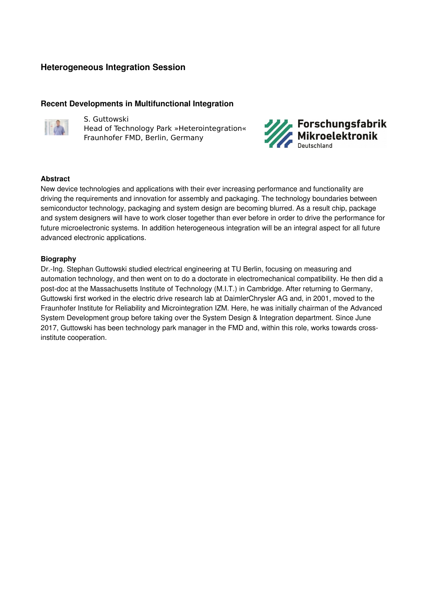# **Heterogeneous Integration Session**

## **Recent Developments in Multifunctional Integration**



S. Guttowski Head of Technology Park »Heterointegration« Fraunhofer FMD, Berlin, Germany



#### **Abstract**

New device technologies and applications with their ever increasing performance and functionality are driving the requirements and innovation for assembly and packaging. The technology boundaries between semiconductor technology, packaging and system design are becoming blurred. As a result chip, package and system designers will have to work closer together than ever before in order to drive the performance for future microelectronic systems. In addition heterogeneous integration will be an integral aspect for all future advanced electronic applications.

#### **Biography**

Dr.-Ing. Stephan Guttowski studied electrical engineering at TU Berlin, focusing on measuring and automation technology, and then went on to do a doctorate in electromechanical compatibility. He then did a post-doc at the Massachusetts Institute of Technology (M.I.T.) in Cambridge. After returning to Germany, Guttowski first worked in the electric drive research lab at DaimlerChrysler AG and, in 2001, moved to the Fraunhofer Institute for Reliability and Microintegration IZM. Here, he was initially chairman of the Advanced System Development group before taking over the System Design & Integration department. Since June 2017, Guttowski has been technology park manager in the FMD and, within this role, works towards crossinstitute cooperation.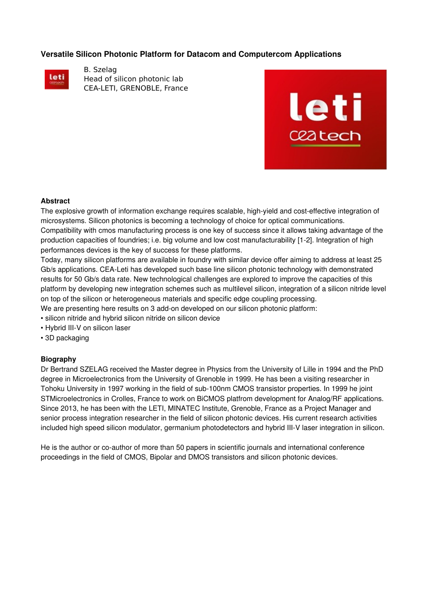## **Versatile Silicon Photonic Platform for Datacom and Computercom Applications**



B. Szelag Head of silicon photonic lab CEA-LETI, GRENOBLE, France



#### **Abstract**

The explosive growth of information exchange requires scalable, high-yield and cost-effective integration of microsystems. Silicon photonics is becoming a technology of choice for optical communications. Compatibility with cmos manufacturing process is one key of success since it allows taking advantage of the production capacities of foundries; i.e. big volume and low cost manufacturability [12]. Integration of high performances devices is the key of success for these platforms.

Today, many silicon platforms are available in foundry with similar device offer aiming to address at least 25 Gb/s applications. CEA-Leti has developed such base line silicon photonic technology with demonstrated results for 50 Gb/s data rate. New technological challenges are explored to improve the capacities of this platform by developing new integration schemes such as multilevel silicon, integration of a silicon nitride level on top of the silicon or heterogeneous materials and specific edge coupling processing.

We are presenting here results on 3 add-on developed on our silicon photonic platform:

- silicon nitride and hybrid silicon nitride on silicon device
- Hybrid III-V on silicon laser
- 3D packaging

#### **Biography**

Dr Bertrand SZELAG received the Master degree in Physics from the University of Lille in 1994 and the PhD degree in Microelectronics from the University of Grenoble in 1999. He has been a visiting researcher in Tohoku University in 1997 working in the field of sub-100nm CMOS transistor properties. In 1999 he joint STMicroelectronics in Crolles, France to work on BiCMOS platfrom development for Analog/RF applications. Since 2013, he has been with the LETI, MINATEC Institute, Grenoble, France as a Project Manager and senior process integration researcher in the field of silicon photonic devices. His current research activities included high speed silicon modulator, germanium photodetectors and hybrid III-V laser integration in silicon.

He is the author or co-author of more than 50 papers in scientific journals and international conference proceedings in the field of CMOS, Bipolar and DMOS transistors and silicon photonic devices.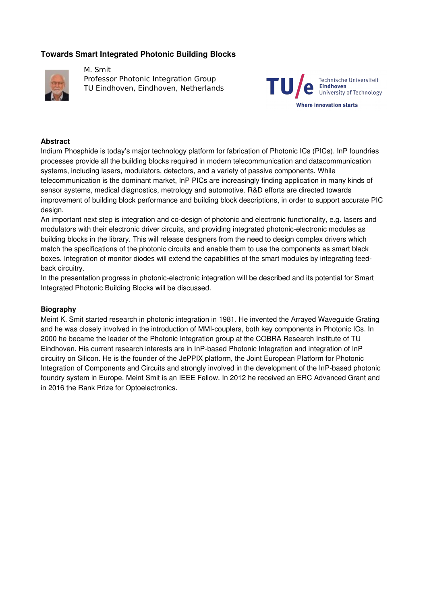# **Towards Smart Integrated Photonic Building Blocks**



M. Smit Professor Photonic Integration Group TU Eindhoven, Eindhoven, Netherlands



#### **Abstract**

Indium Phosphide is today's major technology platform for fabrication of Photonic ICs (PICs). InP foundries processes provide all the building blocks required in modern telecommunication and datacommunication systems, including lasers, modulators, detectors, and a variety of passive components. While telecommunication is the dominant market, InP PICs are increasingly finding application in many kinds of sensor systems, medical diagnostics, metrology and automotive. R&D efforts are directed towards improvement of building block performance and building block descriptions, in order to support accurate PIC design.

An important next step is integration and co-design of photonic and electronic functionality, e.g. lasers and modulators with their electronic driver circuits, and providing integrated photonic-electronic modules as building blocks in the library. This will release designers from the need to design complex drivers which match the specifications of the photonic circuits and enable them to use the components as smart black boxes. Integration of monitor diodes will extend the capabilities of the smart modules by integrating feedback circuitry.

In the presentation progress in photonic-electronic integration will be described and its potential for Smart Integrated Photonic Building Blocks will be discussed.

#### **Biography**

Meint K. Smit started research in photonic integration in 1981. He invented the Arrayed Waveguide Grating and he was closely involved in the introduction of MMIcouplers, both key components in Photonic ICs. In 2000 he became the leader of the Photonic Integration group at the COBRA Research Institute of TU Eindhoven. His current research interests are in InP-based Photonic Integration and integration of InP circuitry on Silicon. He is the founder of the JePPIX platform, the Joint European Platform for Photonic Integration of Components and Circuits and strongly involved in the development of the InP-based photonic foundry system in Europe. Meint Smit is an IEEE Fellow. In 2012 he received an ERC Advanced Grant and in 2016 the Rank Prize for Optoelectronics.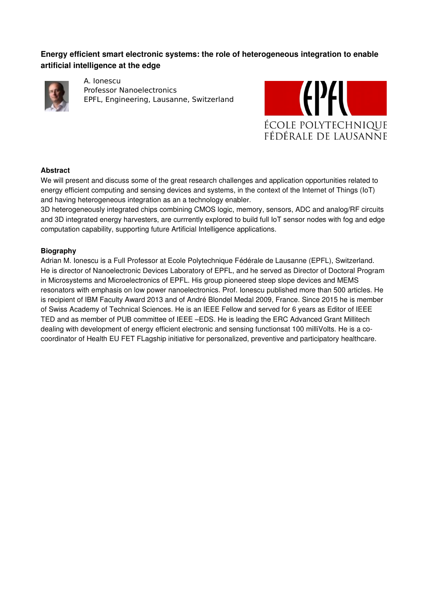# **Energy efficient smart electronic systems: the role of heterogeneous integration to enable artificial intelligence at the edge**



A. Ionescu Professor Nanoelectronics EPFL, Engineering, Lausanne, Switzerland



## **Abstract**

We will present and discuss some of the great research challenges and application opportunities related to energy efficient computing and sensing devices and systems, in the context of the Internet of Things (IoT) and having heterogeneous integration as an a technology enabler.

3D heterogeneously integrated chips combining CMOS logic, memory, sensors, ADC and analog/RF circuits and 3D integrated energy harvesters, are currrently explored to build full IoT sensor nodes with fog and edge computation capability, supporting future Artificial Intelligence applications.

## **Biography**

Adrian M. Ionescu is a Full Professor at Ecole Polytechnique Fédérale de Lausanne (EPFL), Switzerland. He is director of Nanoelectronic Devices Laboratory of EPFL, and he served as Director of Doctoral Program in Microsystems and Microelectronics of EPFL. His group pioneered steep slope devices and MEMS resonators with emphasis on low power nanoelectronics. Prof. Ionescu published more than 500 articles. He is recipient of IBM Faculty Award 2013 and of André Blondel Medal 2009, France. Since 2015 he is member of Swiss Academy of Technical Sciences. He is an IEEE Fellow and served for 6 years as Editor of IEEE TED and as member of PUB committee of IEEE –EDS. He is leading the ERC Advanced Grant Millitech dealing with development of energy efficient electronic and sensing functionsat 100 milliVolts. He is a cocoordinator of Health EU FET FLagship initiative for personalized, preventive and participatory healthcare.